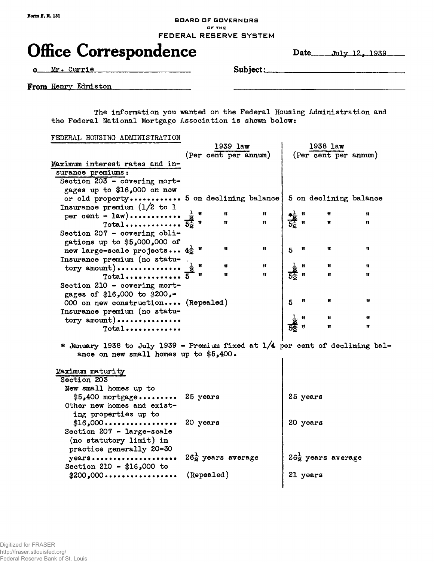## **BOARD OF GOVERNORS OF THE** FEDERAL RESERVE SYSTEM

## Office Correspondence Date July 12, 1939

Mr. Currie **Subject:**

From Henry Edmiston

The information you wanted on the Federal Housing Administration and the Federal National Mortgage Association is shown below:

FEDERAL HOUSING ADMINISTRATION

|                                                                                                                         |          | $1939$ law                    |              |                                                                                                                                                                                                                                                                                                            | $1938$ law                    |    |
|-------------------------------------------------------------------------------------------------------------------------|----------|-------------------------------|--------------|------------------------------------------------------------------------------------------------------------------------------------------------------------------------------------------------------------------------------------------------------------------------------------------------------------|-------------------------------|----|
|                                                                                                                         |          | (Per cent per annum)          |              |                                                                                                                                                                                                                                                                                                            | (Per cent per annum)          |    |
| Maximum interest rates and in-                                                                                          |          |                               |              |                                                                                                                                                                                                                                                                                                            |                               |    |
| surance premiums:                                                                                                       |          |                               |              |                                                                                                                                                                                                                                                                                                            |                               |    |
| Section 203 - covering mort-                                                                                            |          |                               |              |                                                                                                                                                                                                                                                                                                            |                               |    |
| gages up to \$16,000 on new                                                                                             |          |                               |              |                                                                                                                                                                                                                                                                                                            |                               |    |
| or old property 5 on declining balance                                                                                  |          |                               |              |                                                                                                                                                                                                                                                                                                            | 5 on declining balance        |    |
| Insurance premium $(1/2$ to 1                                                                                           |          |                               |              |                                                                                                                                                                                                                                                                                                            |                               |    |
|                                                                                                                         |          |                               |              | $\frac{1}{5\frac{1}{2}}$ = $\frac{1}{2}$ = $\frac{1}{2}$ = $\frac{1}{2}$ = $\frac{1}{2}$ = $\frac{1}{2}$ = $\frac{1}{2}$ = $\frac{1}{2}$ = $\frac{1}{2}$ = $\frac{1}{2}$ = $\frac{1}{2}$ = $\frac{1}{2}$ = $\frac{1}{2}$ = $\frac{1}{2}$ = $\frac{1}{2}$ = $\frac{1}{2}$ = $\frac{1}{2}$ = $\frac{1}{2}$ = |                               | 11 |
|                                                                                                                         |          | 11                            | $\mathbf{H}$ |                                                                                                                                                                                                                                                                                                            | Ħ                             | Ħ  |
| Section 207 - covering obli-                                                                                            |          |                               |              |                                                                                                                                                                                                                                                                                                            |                               |    |
| gations up to $$5,000,000$ of                                                                                           |          |                               |              |                                                                                                                                                                                                                                                                                                            |                               |    |
| new large-scale projects $4\frac{1}{2}$ "                                                                               |          | Ħ.                            | 11           | 5                                                                                                                                                                                                                                                                                                          | n<br>Ħ                        | Ħ  |
| Insurance premium (no statu-                                                                                            |          |                               |              |                                                                                                                                                                                                                                                                                                            |                               |    |
| $\text{tory amount}$ )                                                                                                  |          | Ħ                             | Ħ            |                                                                                                                                                                                                                                                                                                            | Ħ                             | 11 |
| $Total$ 5                                                                                                               | 11       | 11                            | Ħ            | $rac{1}{5z}$ =                                                                                                                                                                                                                                                                                             | Ħ                             | Ħ  |
| Section 210 - covering mort-                                                                                            |          |                               |              |                                                                                                                                                                                                                                                                                                            |                               |    |
| gages of \$16,000 to \$200,-                                                                                            |          |                               |              |                                                                                                                                                                                                                                                                                                            |                               |    |
| 000 on new construction (Repealed)                                                                                      |          |                               |              | $5\phantom{1}$                                                                                                                                                                                                                                                                                             | Ħ<br>11                       | 11 |
| Insurance premium (no statu-                                                                                            |          |                               |              |                                                                                                                                                                                                                                                                                                            |                               |    |
| tory amount)                                                                                                            |          |                               |              |                                                                                                                                                                                                                                                                                                            | Ħ                             | 11 |
| $Total$                                                                                                                 |          |                               |              |                                                                                                                                                                                                                                                                                                            | $\mathbf{f}$                  | Ħ  |
| * January 1938 to July 1939 - Premium fixed at 1/4 per cent of declining bal-<br>ance on new small homes up to \$5,400. |          |                               |              |                                                                                                                                                                                                                                                                                                            |                               |    |
| Maximum maturity                                                                                                        |          |                               |              |                                                                                                                                                                                                                                                                                                            |                               |    |
| Section 203                                                                                                             |          |                               |              |                                                                                                                                                                                                                                                                                                            |                               |    |
| New small homes up to                                                                                                   |          |                               |              |                                                                                                                                                                                                                                                                                                            |                               |    |
| $$5,400$ mortgage                                                                                                       | 25 years |                               |              |                                                                                                                                                                                                                                                                                                            | 25 years                      |    |
| Other new homes and exist-                                                                                              |          |                               |              |                                                                                                                                                                                                                                                                                                            |                               |    |
| ing properties up to                                                                                                    |          |                               |              |                                                                                                                                                                                                                                                                                                            |                               |    |
| $$16,000$                                                                                                               | 20 years |                               |              |                                                                                                                                                                                                                                                                                                            | 20 years                      |    |
| Section 207 - large-scale                                                                                               |          |                               |              |                                                                                                                                                                                                                                                                                                            |                               |    |
| (no statutory limit) in                                                                                                 |          |                               |              |                                                                                                                                                                                                                                                                                                            |                               |    |
| practice generally 20-30                                                                                                |          |                               |              |                                                                                                                                                                                                                                                                                                            |                               |    |
| years                                                                                                                   |          | $26\frac{1}{2}$ years average |              |                                                                                                                                                                                                                                                                                                            | $26\frac{1}{2}$ years average |    |
| Section 210 - \$16,000 to                                                                                               |          |                               |              |                                                                                                                                                                                                                                                                                                            |                               |    |
|                                                                                                                         |          | (Repealed)                    |              |                                                                                                                                                                                                                                                                                                            | 21 years                      |    |
|                                                                                                                         |          |                               |              |                                                                                                                                                                                                                                                                                                            |                               |    |